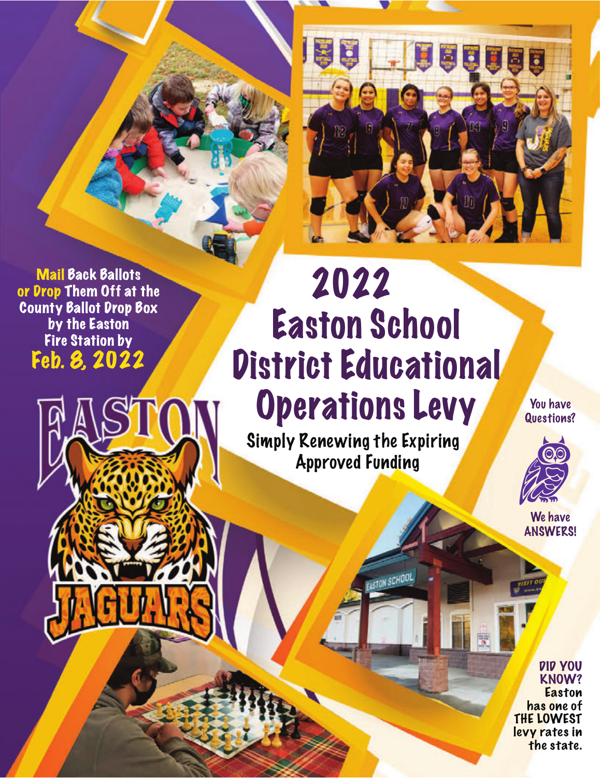

Mail Back Ballots or Drop Them Off at the County Ballot Drop Box by the Easton Fire Station by Feb. 8, 2022

## 2022 Easton School District Educational Operations Levy

 Simply Renewing the Expiring Approved Funding

**ASTON SCHOO** 

You have Questions?



We have ANSWERS!

DID YOU KNOW? **Easton** has one of THE LOWEST levy rates in the state.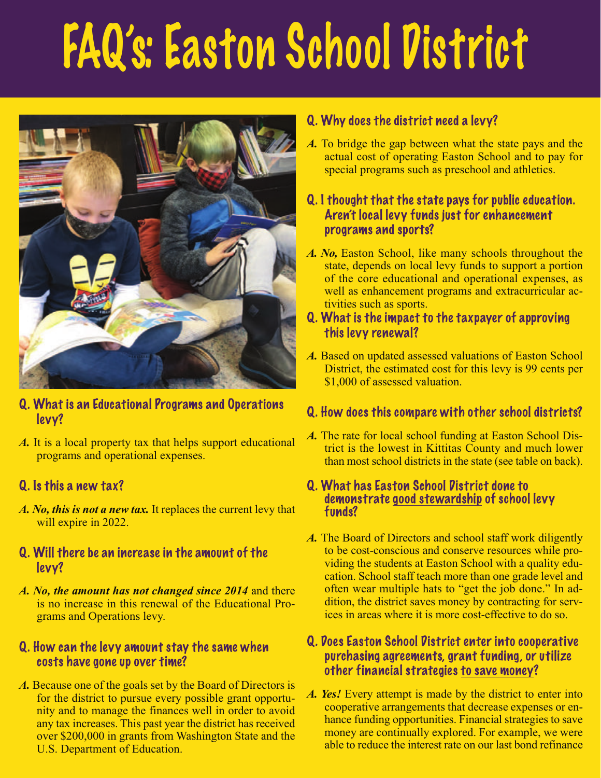# FAQ's: Easton School District



- Q. What is an Educational Programs and Operations levy?
- *A.* It is a local property tax that helps support educational programs and operational expenses.

## Q. Is this a new tax?

- *A. No, this is not a new tax.* It replaces the current levy that will expire in 2022.
- Q. Will there be an increase in the amount of the levy?
- *A. No, the amount has not changed since 2014* and there is no increase in this renewal of the Educational Programs and Operations levy.

### Q. How can the levy amount stay the same when costs have gone up over time?

*A.* Because one of the goals set by the Board of Directors is for the district to pursue every possible grant opportunity and to manage the finances well in order to avoid any tax increases. This past year the district has received over \$200,000 in grants from Washington State and the U.S. Department of Education.

## Q. Why does the district need a levy?

*A.* To bridge the gap between what the state pays and the actual cost of operating Easton School and to pay for special programs such as preschool and athletics.

## Q. I thought that the state pays for public education. Aren't local levy funds just for enhancement programs and sports?

*A. No,* Easton School, like many schools throughout the state, depends on local levy funds to support a portion of the core educational and operational expenses, as well as enhancement programs and extracurricular activities such as sports.

### Q. What is the impact to the taxpayer of approving this levy renewal?

*A.* Based on updated assessed valuations of Easton School District, the estimated cost for this levy is 99 cents per \$1,000 of assessed valuation.

## Q. How does this compare with other school districts?

*A.* The rate for local school funding at Easton School District is the lowest in Kittitas County and much lower than most school districts in the state (see table on back).

## Q. What has Easton School District done to demonstrate <u>good stewardship</u> of school levy<br>funds?

*A.* The Board of Directors and school staff work diligently to be cost-conscious and conserve resources while providing the students at Easton School with a quality education. School staff teach more than one grade level and often wear multiple hats to "get the job done." In addition, the district saves money by contracting for services in areas where it is more cost-effective to do so.

### Q. Does Easton School District enter into cooperative purchasing agreements, grant funding, or utilize other financial strategies to save money?

*A. Yes!* Every attempt is made by the district to enter into cooperative arrangements that decrease expenses or enhance funding opportunities. Financial strategies to save money are continually explored. For example, we were able to reduce the interest rate on our last bond refinance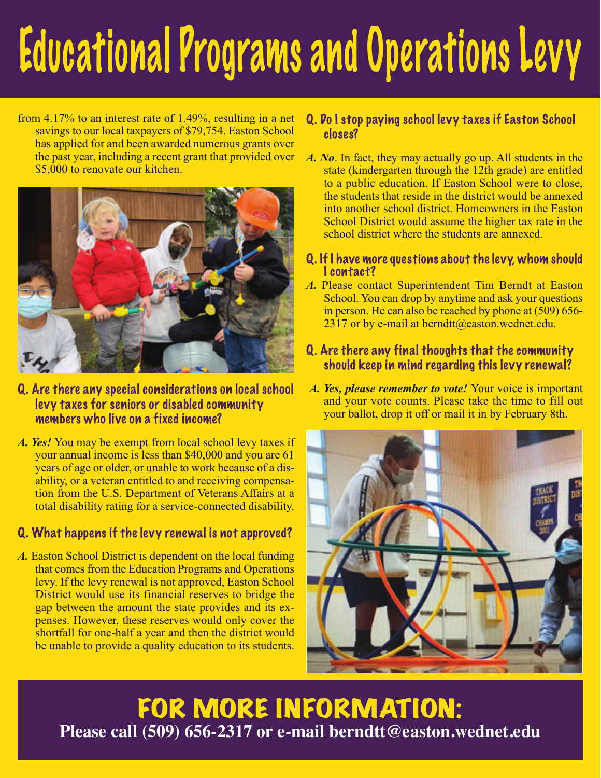# Educational Programs and Operations Levy

from 4.17% to an interest rate of 1.49%, resulting in a net savings to our local taxpayers of \$79,754. Easton School has applied for and been awarded numerous grants over the past year, including a recent grant that provided over \$5,000 to renovate our kitchen.



- Q. Are there any special considerations on local school levy taxes for seniors or disabled community members who live on a fixed income?
- *A. Yes!* You may be exempt from local school levy taxes if your annual income is less than \$40,000 and you are 61 years of age or older, or unable to work because of a disability, or a veteran entitled to and receiving compensation from the U.S. Department of Veterans Affairs at a total disability rating for a service-connected disability.

## Q. What happens if the levy renewal is not approved?

A. Easton School District is dependent on the local funding that comes from the Education Programs and Operations levy. If the levy renewal is not approved, Easton School District would use its financial reserves to bridge the gap between the amount the state provides and its expenses. However, these reserves would only cover the shortfall for one-half a year and then the district would be unable to provide a quality education to its students.

## Q. Do I stop paying school levy taxes if Easton School closes?

- *A. No*. In fact, they may actually go up. All students in the state (kindergarten through the 12th grade) are entitled to a public education. If Easton School were to close, the students that reside in the district would be annexed into another school district. Homeowners in the Easton School District would assume the higher tax rate in the school district where the students are annexed.
- Q. If I have more questions about the levy, whom should I contact?
- *A.* Please contact Superintendent Tim Berndt at Easton School. You can drop by anytime and ask your questions in person. He can also be reached by phone at (509) 656-  $2317$  or by e-mail at berndtt@easton.wednet.edu.

## Q. Are there any final thoughts that the community should keep in mind regarding this levy renewal?

*A. Yes, please remember to vote!* Your voice is important and your vote counts. Please take the time to fill out your ballot, drop it off or mail it in by February 8th.



## FOR MORE INFORMATION: **Please call (509) 656-2317 or e-mail [berndtt@easton.wednet.edu](mailto:berndtt@easton.wednet.edu)**